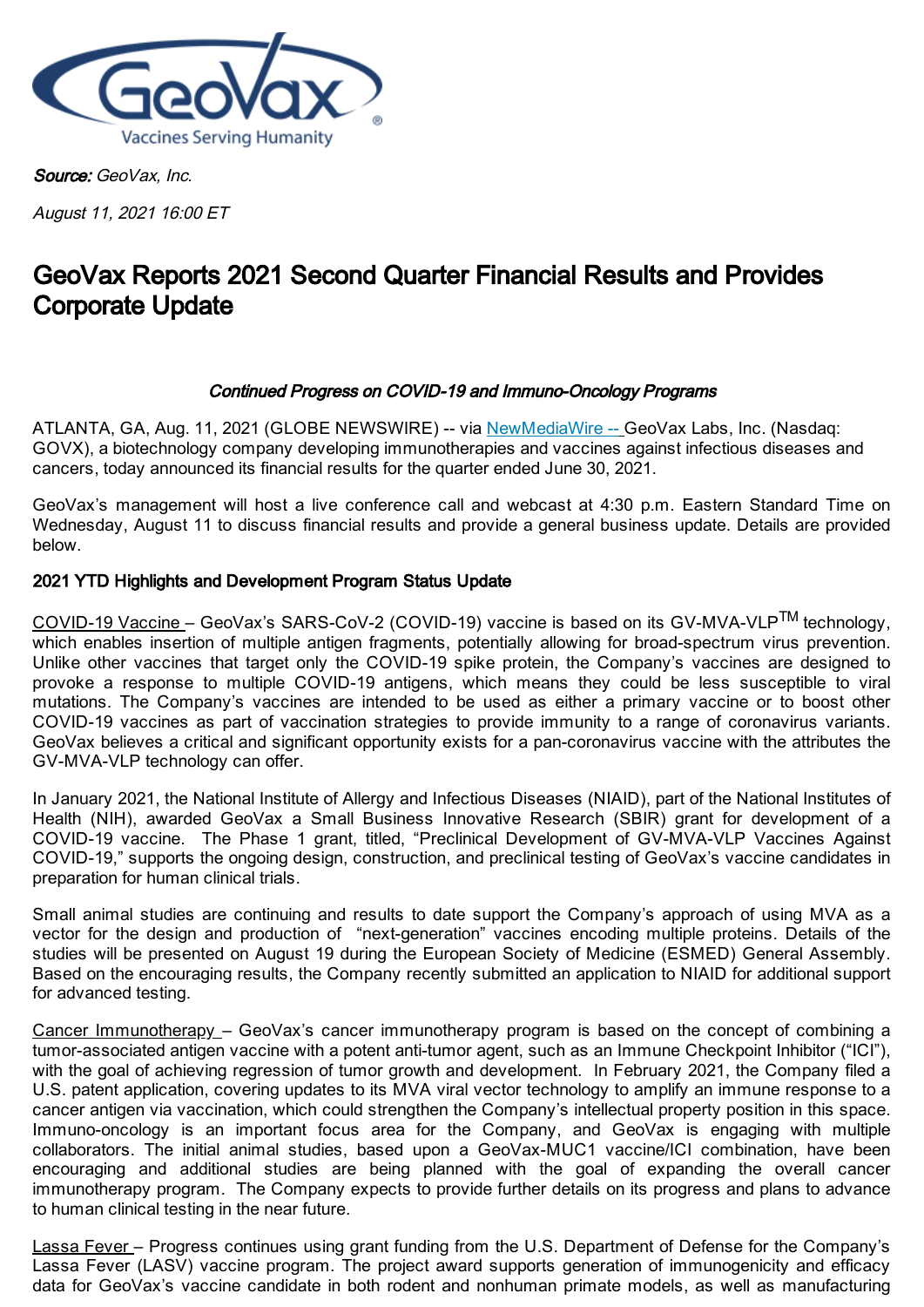

Source: GeoVax, Inc.

August 11, 2021 16:00 ET

# GeoVax Reports 2021 Second Quarter Financial Results and Provides Corporate Update

## Continued Progress on COVID-19 and Immuno-Oncology Programs

ATLANTA, GA, Aug. 11, 2021 (GLOBE NEWSWIRE) -- via [NewMediaWire](https://www.globenewswire.com/Tracker?data=vfswhHkAOWki4ygIEMeM6MG8ze1RLRx0I6srswBeWBDbgBdlpwYc0Qkxn3citDBjU_zrfs93Yb9n3GsApNp9hiM4zJoq5GSODD1vtX9nJLg=) -- GeoVax Labs, Inc. (Nasdaq: GOVX), a biotechnology company developing immunotherapies and vaccines against infectious diseases and cancers, today announced its financial results for the quarter ended June 30, 2021.

GeoVax's management will host a live conference call and webcast at 4:30 p.m. Eastern Standard Time on Wednesday, August 11 to discuss financial results and provide a general business update. Details are provided below.

## 2021 YTD Highlights and Development Program Status Update

COVID-19 Vaccine – GeoVax's SARS-CoV-2 (COVID-19) vaccine is based on its GV-MVA-VLP<sup>TM</sup> technology, which enables insertion of multiple antigen fragments, potentially allowing for broad-spectrum virus prevention. Unlike other vaccines that target only the COVID-19 spike protein, the Company's vaccines are designed to provoke a response to multiple COVID-19 antigens, which means they could be less susceptible to viral mutations. The Company's vaccines are intended to be used as either a primary vaccine or to boost other COVID-19 vaccines as part of vaccination strategies to provide immunity to a range of coronavirus variants. GeoVax believes a critical and significant opportunity exists for a pan-coronavirus vaccine with the attributes the GV-MVA-VLP technology can offer.

In January 2021, the National Institute of Allergy and Infectious Diseases (NIAID), part of the National Institutes of Health (NIH), awarded GeoVax a Small Business Innovative Research (SBIR) grant for development of a COVID-19 vaccine. The Phase 1 grant, titled, "Preclinical Development of GV-MVA-VLP Vaccines Against COVID-19," supports the ongoing design, construction, and preclinical testing of GeoVax's vaccine candidates in preparation for human clinical trials.

Small animal studies are continuing and results to date support the Company's approach of using MVA as a vector for the design and production of "next-generation" vaccines encoding multiple proteins. Details of the studies will be presented on August 19 during the European Society of Medicine (ESMED) General Assembly. Based on the encouraging results, the Company recently submitted an application to NIAID for additional support for advanced testing.

Cancer Immunotherapy – GeoVax's cancer immunotherapy program is based on the concept of combining a tumor-associated antigen vaccine with a potent anti-tumor agent, such as an Immune Checkpoint Inhibitor ("ICI"), with the goal of achieving regression of tumor growth and development. In February 2021, the Company filed a U.S. patent application, covering updates to its MVA viral vector technology to amplify an immune response to a cancer antigen via vaccination, which could strengthen the Company's intellectual property position in this space. Immuno-oncology is an important focus area for the Company, and GeoVax is engaging with multiple collaborators. The initial animal studies, based upon a GeoVax-MUC1 vaccine/ICI combination, have been encouraging and additional studies are being planned with the goal of expanding the overall cancer immunotherapy program. The Company expects to provide further details on its progress and plans to advance to human clinical testing in the near future.

Lassa Fever – Progress continues using grant funding from the U.S. Department of Defense for the Company's Lassa Fever (LASV) vaccine program. The project award supports generation of immunogenicity and efficacy data for GeoVax's vaccine candidate in both rodent and nonhuman primate models, as well as manufacturing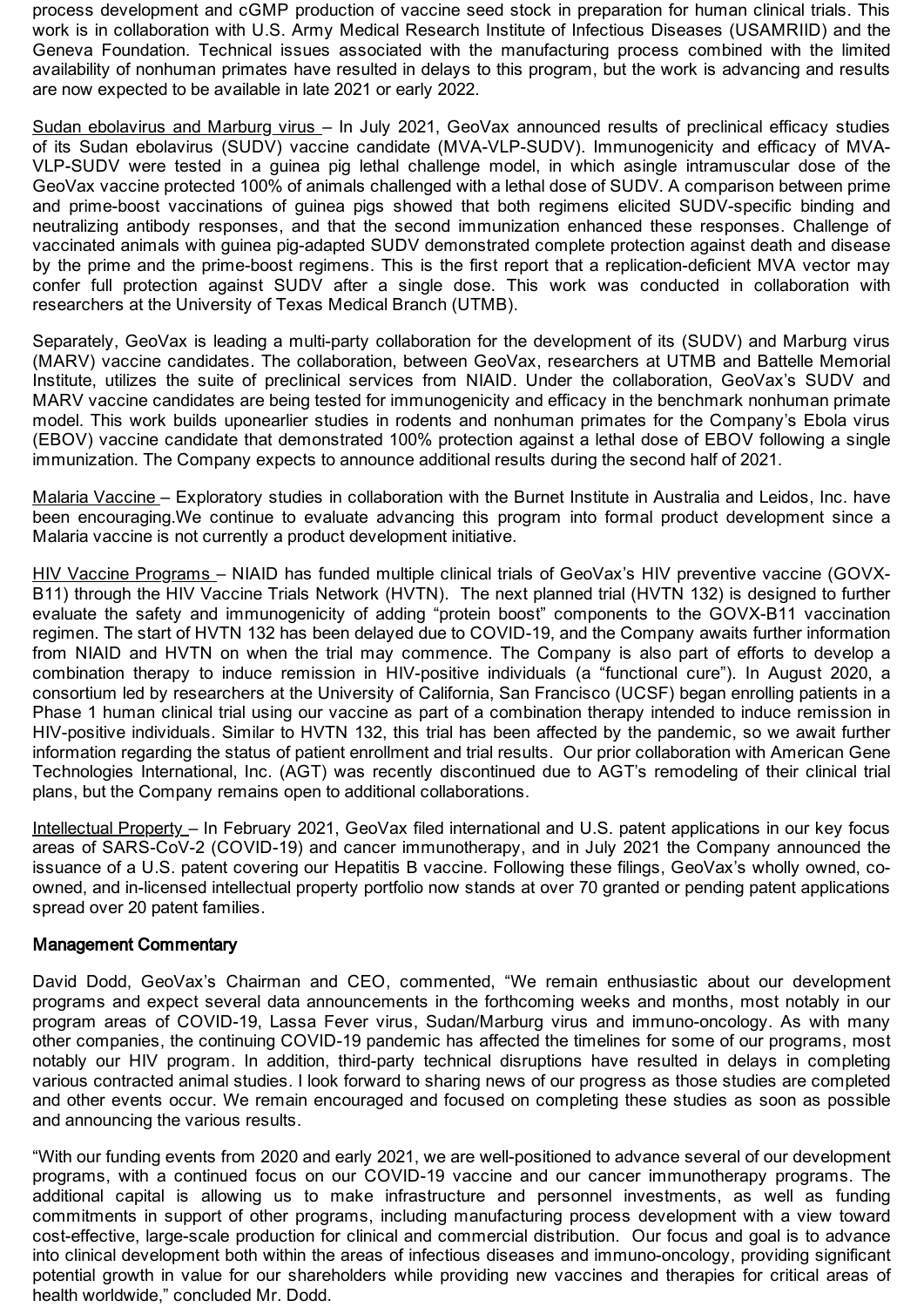process development and cGMP production of vaccine seed stock in preparation for human clinical trials. This work is in collaboration with U.S. Army Medical Research Institute of Infectious Diseases (USAMRIID) and the Geneva Foundation. Technical issues associated with the manufacturing process combined with the limited availability of nonhuman primates have resulted in delays to this program, but the work is advancing and results are now expected to be available in late 2021 or early 2022.

Sudan ebolavirus and Marburg virus – In July 2021, GeoVax announced results of preclinical efficacy studies of its Sudan ebolavirus (SUDV) vaccine candidate (MVA-VLP-SUDV). Immunogenicity and efficacy of MVA-VLP-SUDV were tested in a guinea pig lethal challenge model, in which asingle intramuscular dose of the GeoVax vaccine protected 100% of animals challenged with a lethal dose of SUDV. A comparison between prime and prime-boost vaccinations of guinea pigs showed that both regimens elicited SUDV-specific binding and neutralizing antibody responses, and that the second immunization enhanced these responses. Challenge of vaccinated animals with guinea pig-adapted SUDV demonstrated complete protection against death and disease by the prime and the prime-boost regimens. This is the first report that a replication-deficient MVA vector may confer full protection against SUDV after a single dose. This work was conducted in collaboration with researchers at the University of Texas Medical Branch (UTMB).

Separately, GeoVax is leading a multi-party collaboration for the development of its (SUDV) and Marburg virus (MARV) vaccine candidates. The collaboration, between GeoVax, researchers at UTMB and Battelle Memorial Institute, utilizes the suite of preclinical services from NIAID. Under the collaboration, GeoVax's SUDV and MARV vaccine candidates are being tested for immunogenicity and efficacy in the benchmark nonhuman primate model. This work builds uponearlier studies in rodents and nonhuman primates for the Company's Ebola virus (EBOV) vaccine candidate that demonstrated 100% protection against a lethal dose of EBOV following a single immunization. The Company expects to announce additional results during the second half of 2021.

Malaria Vaccine – Exploratory studies in collaboration with the Burnet Institute in Australia and Leidos, Inc. have been encouraging.We continue to evaluate advancing this program into formal product development since a Malaria vaccine is not currently a product development initiative.

HIV Vaccine Programs – NIAID has funded multiple clinical trials of GeoVax's HIV preventive vaccine (GOVX-B11) through the HIV Vaccine Trials Network (HVTN). The next planned trial (HVTN 132) is designed to further evaluate the safety and immunogenicity of adding "protein boost" components to the GOVX-B11 vaccination regimen. The start of HVTN 132 has been delayed due to COVID-19, and the Company awaits further information from NIAID and HVTN on when the trial may commence. The Company is also part of efforts to develop a combination therapy to induce remission in HIV-positive individuals (a "functional cure"). In August 2020, a consortium led by researchers at the University of California, San Francisco (UCSF) began enrolling patients in a Phase 1 human clinical trial using our vaccine as part of a combination therapy intended to induce remission in HIV-positive individuals. Similar to HVTN 132, this trial has been affected by the pandemic, so we await further information regarding the status of patient enrollment and trial results. Our prior collaboration with American Gene Technologies International, Inc. (AGT) was recently discontinued due to AGT's remodeling of their clinical trial plans, but the Company remains open to additional collaborations.

Intellectual Property – In February 2021, GeoVax filed international and U.S. patent applications in our key focus areas of SARS-CoV-2 (COVID-19) and cancer immunotherapy, and in July 2021 the Company announced the issuance of a U.S. patent covering our Hepatitis B vaccine. Following these filings, GeoVax's wholly owned, coowned, and in-licensed intellectual property portfolio now stands at over 70 granted or pending patent applications spread over 20 patent families.

## Management Commentary

David Dodd, GeoVax's Chairman and CEO, commented, "We remain enthusiastic about our development programs and expect several data announcements in the forthcoming weeks and months, most notably in our program areas of COVID-19, Lassa Fever virus, Sudan/Marburg virus and immuno-oncology. As with many other companies, the continuing COVID-19 pandemic has affected the timelines for some of our programs, most notably our HIV program. In addition, third-party technical disruptions have resulted in delays in completing various contracted animal studies. I look forward to sharing news of our progress as those studies are completed and other events occur. We remain encouraged and focused on completing these studies as soon as possible and announcing the various results.

"With our funding events from 2020 and early 2021, we are well-positioned to advance several of our development programs, with a continued focus on our COVID-19 vaccine and our cancer immunotherapy programs. The additional capital is allowing us to make infrastructure and personnel investments, as well as funding commitments in support of other programs, including manufacturing process development with a view toward cost-effective, large-scale production for clinical and commercial distribution. Our focus and goal is to advance into clinical development both within the areas of infectious diseases and immuno-oncology, providing significant potential growth in value for our shareholders while providing new vaccines and therapies for critical areas of health worldwide," concluded Mr. Dodd.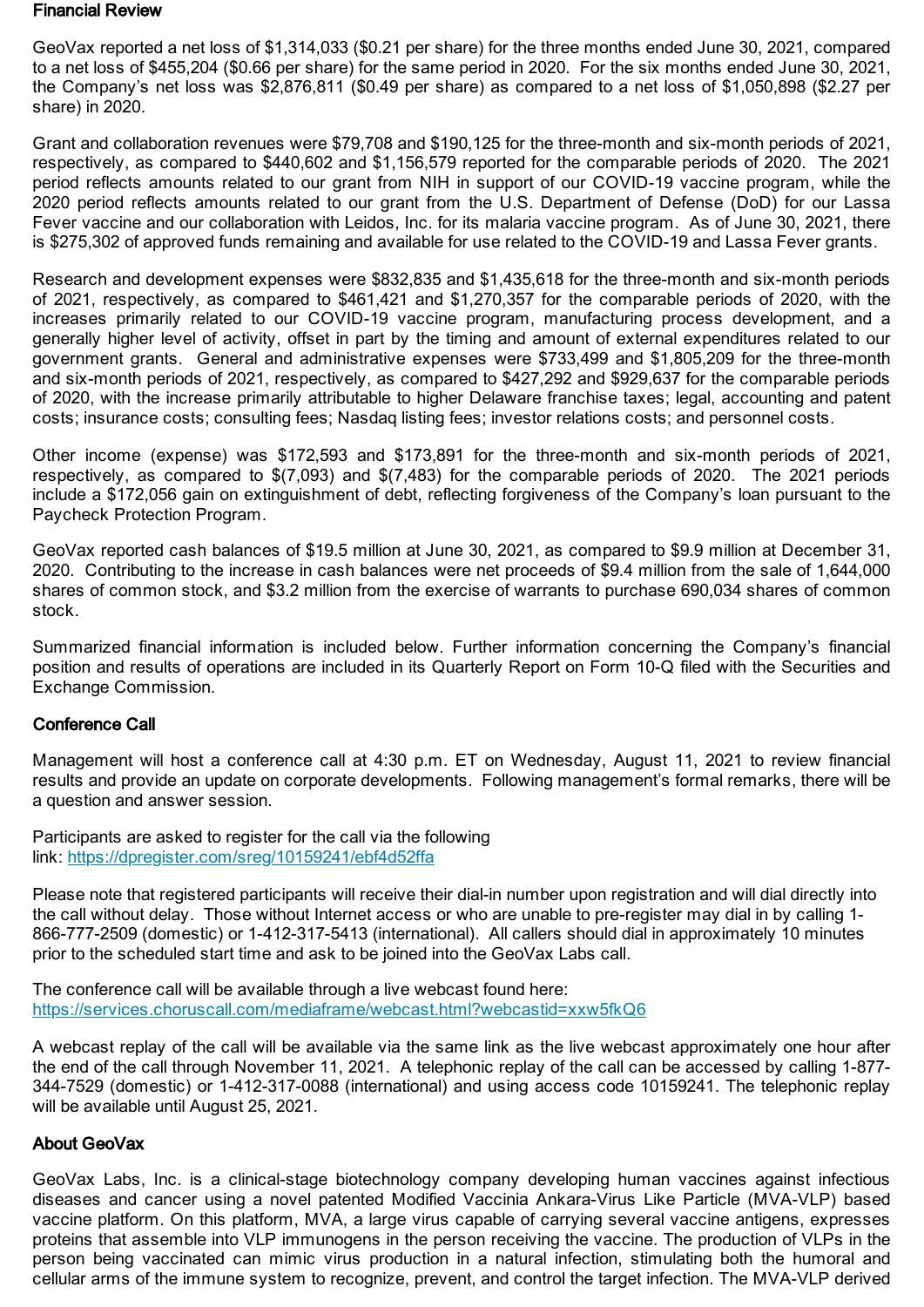#### Financial Review

GeoVax reported a net loss of \$1,314,033 (\$0.21 per share) for the three months ended June 30, 2021, compared to a net loss of \$455,204 (\$0.66 per share) for the same period in 2020. For the six months ended June 30, 2021, the Company's net loss was \$2,876,811 (\$0.49 per share) as compared to a net loss of \$1,050,898 (\$2.27 per share) in 2020.

Grant and collaboration revenues were \$79,708 and \$190,125 for the three-month and six-month periods of 2021, respectively, as compared to \$440,602 and \$1,156,579 reported for the comparable periods of 2020. The 2021 period reflects amounts related to our grant from NIH in support of our COVID-19 vaccine program, while the 2020 period reflects amounts related to our grant from the U.S. Department of Defense (DoD) for our Lassa Fever vaccine and our collaboration with Leidos, Inc. for its malaria vaccine program. As of June 30, 2021, there is \$275,302 of approved funds remaining and available for use related to the COVID-19 and Lassa Fever grants.

Research and development expenses were \$832,835 and \$1,435,618 for the three-month and six-month periods of 2021, respectively, as compared to \$461,421 and \$1,270,357 for the comparable periods of 2020, with the increases primarily related to our COVID-19 vaccine program, manufacturing process development, and a generally higher level of activity, offset in part by the timing and amount of external expenditures related to our government grants. General and administrative expenses were \$733,499 and \$1,805,209 for the three-month and six-month periods of 2021, respectively, as compared to \$427,292 and \$929,637 for the comparable periods of 2020, with the increase primarily attributable to higher Delaware franchise taxes; legal, accounting and patent costs; insurance costs; consulting fees; Nasdaq listing fees; investor relations costs; and personnel costs.

Other income (expense) was \$172,593 and \$173,891 for the three-month and six-month periods of 2021, respectively, as compared to \$(7,093) and \$(7,483) for the comparable periods of 2020. The 2021 periods include a \$172,056 gain on extinguishment of debt, reflecting forgiveness of the Company's loan pursuant to the Paycheck Protection Program.

GeoVax reported cash balances of \$19.5 million at June 30, 2021, as compared to \$9.9 million at December 31, 2020. Contributing to the increase in cash balances were net proceeds of \$9.4 million from the sale of 1,644,000 shares of common stock, and \$3.2 million from the exercise of warrants to purchase 690,034 shares of common stock.

Summarized financial information is included below. Further information concerning the Company's financial position and results of operations are included in its Quarterly Report on Form 10-Q filed with the Securities and Exchange Commission.

## Conference Call

Management will host a conference call at 4:30 p.m. ET on Wednesday, August 11, 2021 to review financial results and provide an update on corporate developments. Following management's formal remarks, there will be a question and answer session.

Participants are asked to register for the call via the following link: [https://dpregister.com/sreg/10159241/ebf4d52ffa](https://www.globenewswire.com/Tracker?data=_OJuxjxOyZUnrBPcFPYEmudRcp2HJof2rnBPA2EW3NG730BCQAThZOXmt39ca5-PkJphpzbyBrGzc8H9CkjTwh__QBswyU0CJKjtqgWgptMS7HgVNmolzp0jSwQUFDCsyCSoPwDUEY0rPvkDZmK4ssC6qzHBuHM7sb4ybsMX7IU=)

Please note that registered participants will receive their dial-in number upon registration and will dial directly into the call without delay. Those without Internet access or who are unable to pre-register may dial in by calling 1- 866-777-2509 (domestic) or 1-412-317-5413 (international). All callers should dial in approximately 10 minutes prior to the scheduled start time and ask to be joined into the GeoVax Labs call.

The conference call will be available through a live webcast found here: [https://services.choruscall.com/mediaframe/webcast.html?webcastid=xxw5fkQ6](https://www.globenewswire.com/Tracker?data=_OJuxjxOyZUnrBPcFPYEmrgp6HTZPgTTAdCEPTgD3-RwhsIITpyaN1nkIf14I53_TjimVt_LeAppfc7tKI-9-ufQWb5SrGzCO7c4nvC3-ag_4JOKkABa02zcVOGxPzckCeqo7bxfWKOkoikS_QQxxbIOylNtIzkGR3vzkXzivKTq4MSBeHRSzdaMpQuPwLzwVAxbLEouI6LcpFzKlFNubMHmb7bgtwUtHkabKK662jM=)

A webcast replay of the call will be available via the same link as the live webcast approximately one hour after the end of the call through November 11, 2021. A telephonic replay of the call can be accessed by calling 1-877- 344-7529 (domestic) or 1-412-317-0088 (international) and using access code 10159241. The telephonic replay will be available until August 25, 2021.

#### About GeoVax

GeoVax Labs, Inc. is a clinical-stage biotechnology company developing human vaccines against infectious diseases and cancer using a novel patented Modified Vaccinia Ankara-Virus Like Particle (MVA-VLP) based vaccine platform. On this platform, MVA, a large virus capable of carrying several vaccine antigens, expresses proteins that assemble into VLP immunogens in the person receiving the vaccine. The production of VLPs in the person being vaccinated can mimic virus production in a natural infection, stimulating both the humoral and cellular arms of the immune system to recognize, prevent, and control the target infection. The MVA-VLP derived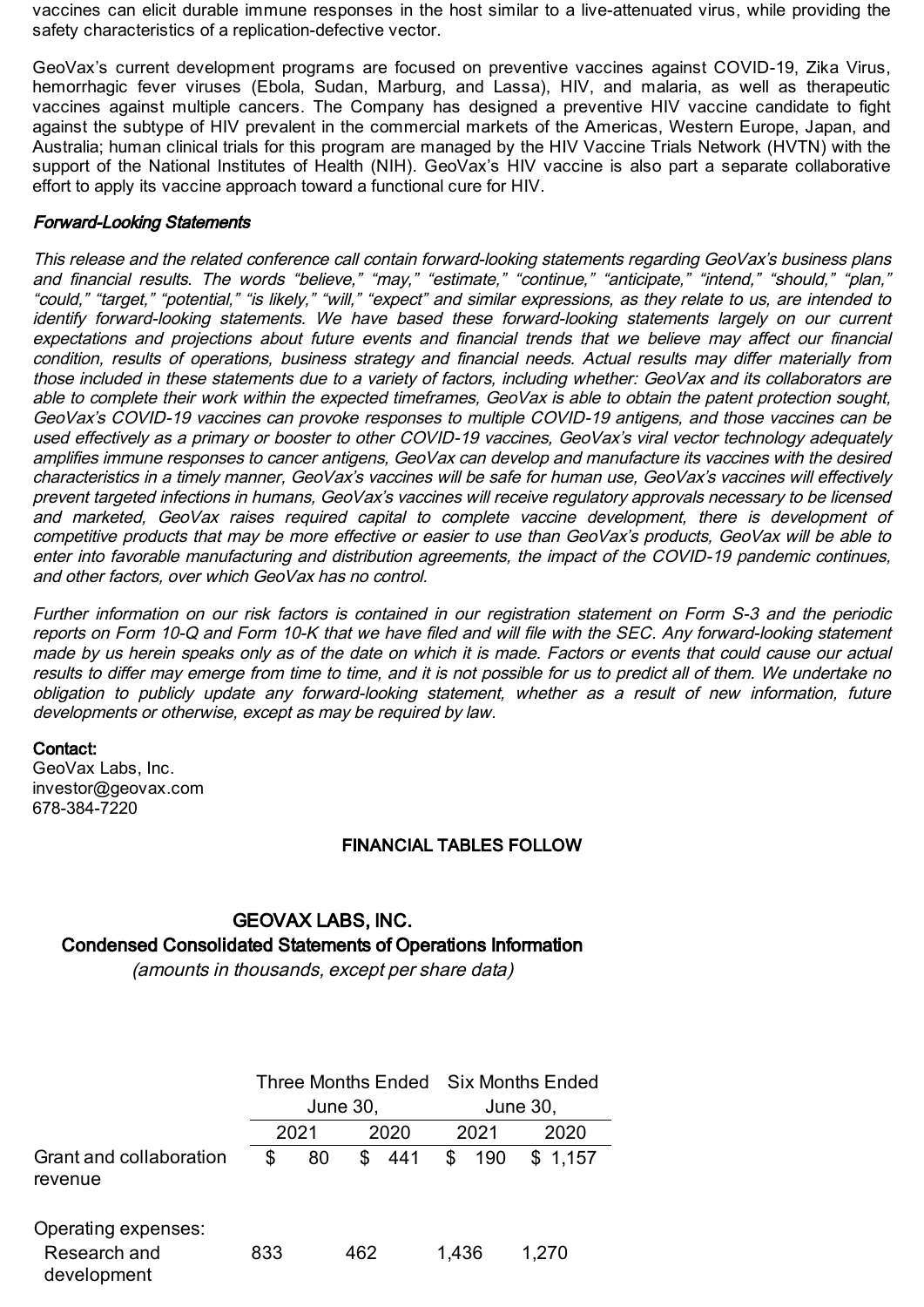vaccines can elicit durable immune responses in the host similar to a live-attenuated virus, while providing the safety characteristics of a replication-defective vector.

GeoVax's current development programs are focused on preventive vaccines against COVID-19, Zika Virus, hemorrhagic fever viruses (Ebola, Sudan, Marburg, and Lassa), HIV, and malaria, as well as therapeutic vaccines against multiple cancers. The Company has designed a preventive HIV vaccine candidate to fight against the subtype of HIV prevalent in the commercial markets of the Americas, Western Europe, Japan, and Australia; human clinical trials for this program are managed by the HIV Vaccine Trials Network (HVTN) with the support of the National Institutes of Health (NIH). GeoVax's HIV vaccine is also part a separate collaborative effort to apply its vaccine approach toward a functional cure for HIV.

### Forward-Looking Statements

This release and the related conference call contain forward-looking statements regarding GeoVax's business plans and financial results. The words "believe," "may," "estimate," "continue," "anticipate," "intend," "should," "plan," "could," "target," "potential," "is likely," "will," "expect" and similar expressions, as they relate to us, are intended to identify forward-looking statements. We have based these forward-looking statements largely on our current expectations and projections about future events and financial trends that we believe may affect our financial condition, results of operations, business strategy and financial needs. Actual results may differ materially from those included in these statements due to <sup>a</sup> variety of factors, including whether: GeoVax and its collaborators are able to complete their work within the expected timeframes, GeoVax is able to obtain the patent protection sought, GeoVax's COVID-19 vaccines can provoke responses to multiple COVID-19 antigens, and those vaccines can be used effectively as <sup>a</sup> primary or booster to other COVID-19 vaccines, GeoVax's viral vector technology adequately amplifies immune responses to cancer antigens, GeoVax can develop and manufacture its vaccines with the desired characteristics in <sup>a</sup> timely manner, GeoVax's vaccines will be safe for human use, GeoVax's vaccines will effectively prevent targeted infections in humans, GeoVax's vaccines will receive regulatory approvals necessary to be licensed and marketed, GeoVax raises required capital to complete vaccine development, there is development of competitive products that may be more effective or easier to use than GeoVax's products, GeoVax will be able to enter into favorable manufacturing and distribution agreements, the impact of the COVID-19 pandemic continues, and other factors, over which GeoVax has no control.

Further information on our risk factors is contained in our registration statement on Form S-3 and the periodic reports on Form 10-Q and Form 10-K that we have filed and will file with the SEC. Any forward-looking statement made by us herein speaks only as of the date on which it is made. Factors or events that could cause our actual results to differ may emerge from time to time, and it is not possible for us to predict all of them. We undertake no obligation to publicly update any forward-looking statement, whether as <sup>a</sup> result of new information, future developments or otherwise, except as may be required by law.

#### Contact:

GeoVax Labs, Inc. investor@geovax.com 678-384-7220

## FINANCIAL TABLES FOLLOW

## GEOVAX LABS, INC. Condensed Consolidated Statements of Operations Information

(amounts in thousands, except per share data)

|                                                    |     | Three Months Ended Six Months Ended<br>June 30, |     |      |       | June 30, |         |  |
|----------------------------------------------------|-----|-------------------------------------------------|-----|------|-------|----------|---------|--|
|                                                    |     | 2021<br>2020                                    |     | 2021 |       | 2020     |         |  |
| Grant and collaboration<br>revenue                 | S   | 80                                              | \$  | 441  | \$    | 190      | \$1,157 |  |
| Operating expenses:<br>Research and<br>development | 833 |                                                 | 462 |      | 1,436 |          | 1,270   |  |